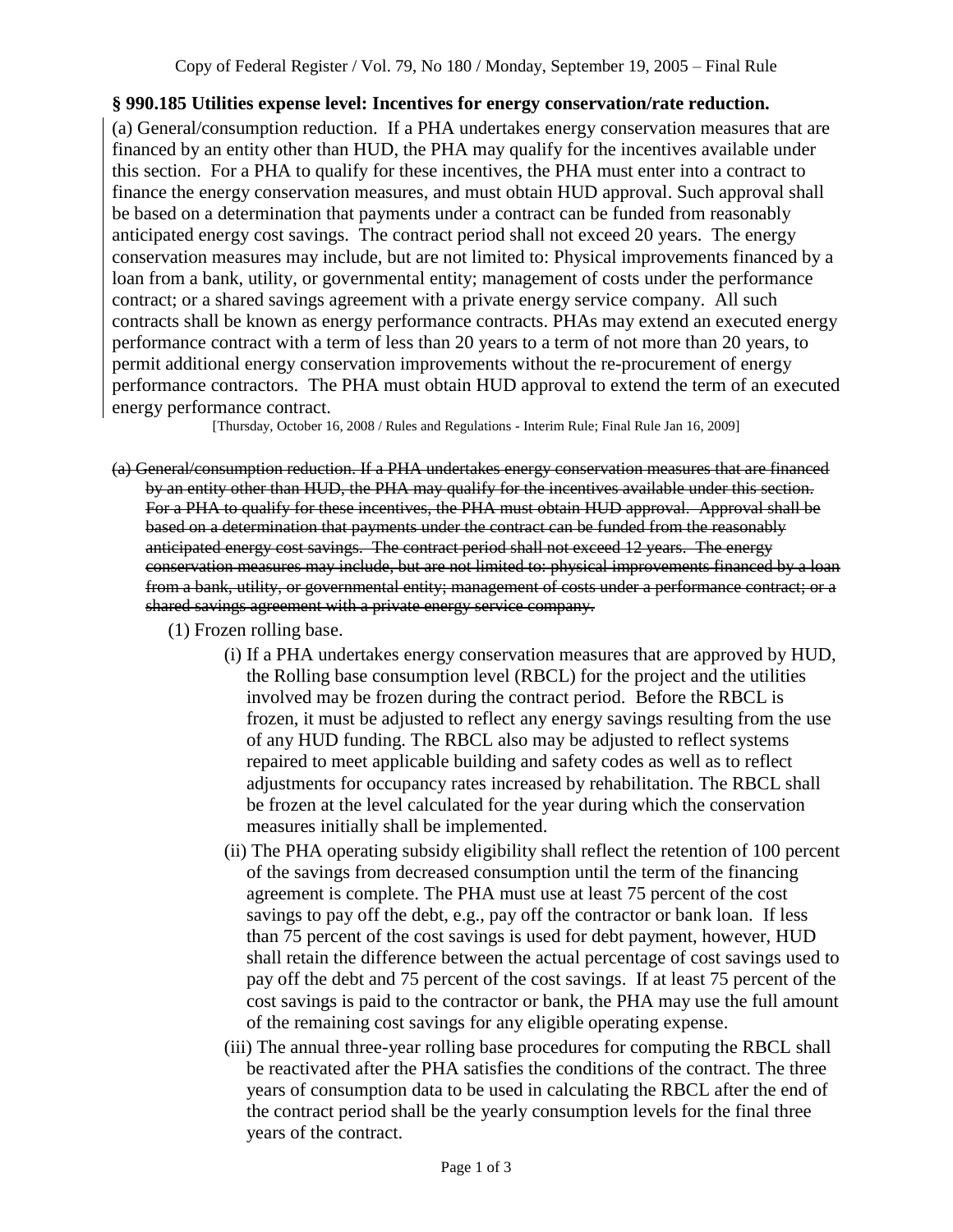## **§ 990.185 Utilities expense level: Incentives for energy conservation/rate reduction.**

(a) General/consumption reduction. If a PHA undertakes energy conservation measures that are financed by an entity other than HUD, the PHA may qualify for the incentives available under this section. For a PHA to qualify for these incentives, the PHA must enter into a contract to finance the energy conservation measures, and must obtain HUD approval. Such approval shall be based on a determination that payments under a contract can be funded from reasonably anticipated energy cost savings. The contract period shall not exceed 20 years. The energy conservation measures may include, but are not limited to: Physical improvements financed by a loan from a bank, utility, or governmental entity; management of costs under the performance contract; or a shared savings agreement with a private energy service company. All such contracts shall be known as energy performance contracts. PHAs may extend an executed energy performance contract with a term of less than 20 years to a term of not more than 20 years, to permit additional energy conservation improvements without the re-procurement of energy performance contractors. The PHA must obtain HUD approval to extend the term of an executed energy performance contract.

[Thursday, October 16, 2008 / Rules and Regulations - Interim Rule; Final Rule Jan 16, 2009]

- (a) General/consumption reduction. If a PHA undertakes energy conservation measures that are financed by an entity other than HUD, the PHA may qualify for the incentives available under this section. For a PHA to qualify for these incentives, the PHA must obtain HUD approval. Approval shall be based on a determination that payments under the contract can be funded from the reasonably anticipated energy cost savings. The contract period shall not exceed 12 years. The energy conservation measures may include, but are not limited to: physical improvements financed by a loan from a bank, utility, or governmental entity; management of costs under a performance contract; or a shared savings agreement with a private energy service company.
	- (1) Frozen rolling base.
		- (i) If a PHA undertakes energy conservation measures that are approved by HUD, the Rolling base consumption level (RBCL) for the project and the utilities involved may be frozen during the contract period. Before the RBCL is frozen, it must be adjusted to reflect any energy savings resulting from the use of any HUD funding. The RBCL also may be adjusted to reflect systems repaired to meet applicable building and safety codes as well as to reflect adjustments for occupancy rates increased by rehabilitation. The RBCL shall be frozen at the level calculated for the year during which the conservation measures initially shall be implemented.
		- (ii) The PHA operating subsidy eligibility shall reflect the retention of 100 percent of the savings from decreased consumption until the term of the financing agreement is complete. The PHA must use at least 75 percent of the cost savings to pay off the debt, e.g., pay off the contractor or bank loan. If less than 75 percent of the cost savings is used for debt payment, however, HUD shall retain the difference between the actual percentage of cost savings used to pay off the debt and 75 percent of the cost savings. If at least 75 percent of the cost savings is paid to the contractor or bank, the PHA may use the full amount of the remaining cost savings for any eligible operating expense.
		- (iii) The annual three-year rolling base procedures for computing the RBCL shall be reactivated after the PHA satisfies the conditions of the contract. The three years of consumption data to be used in calculating the RBCL after the end of the contract period shall be the yearly consumption levels for the final three years of the contract.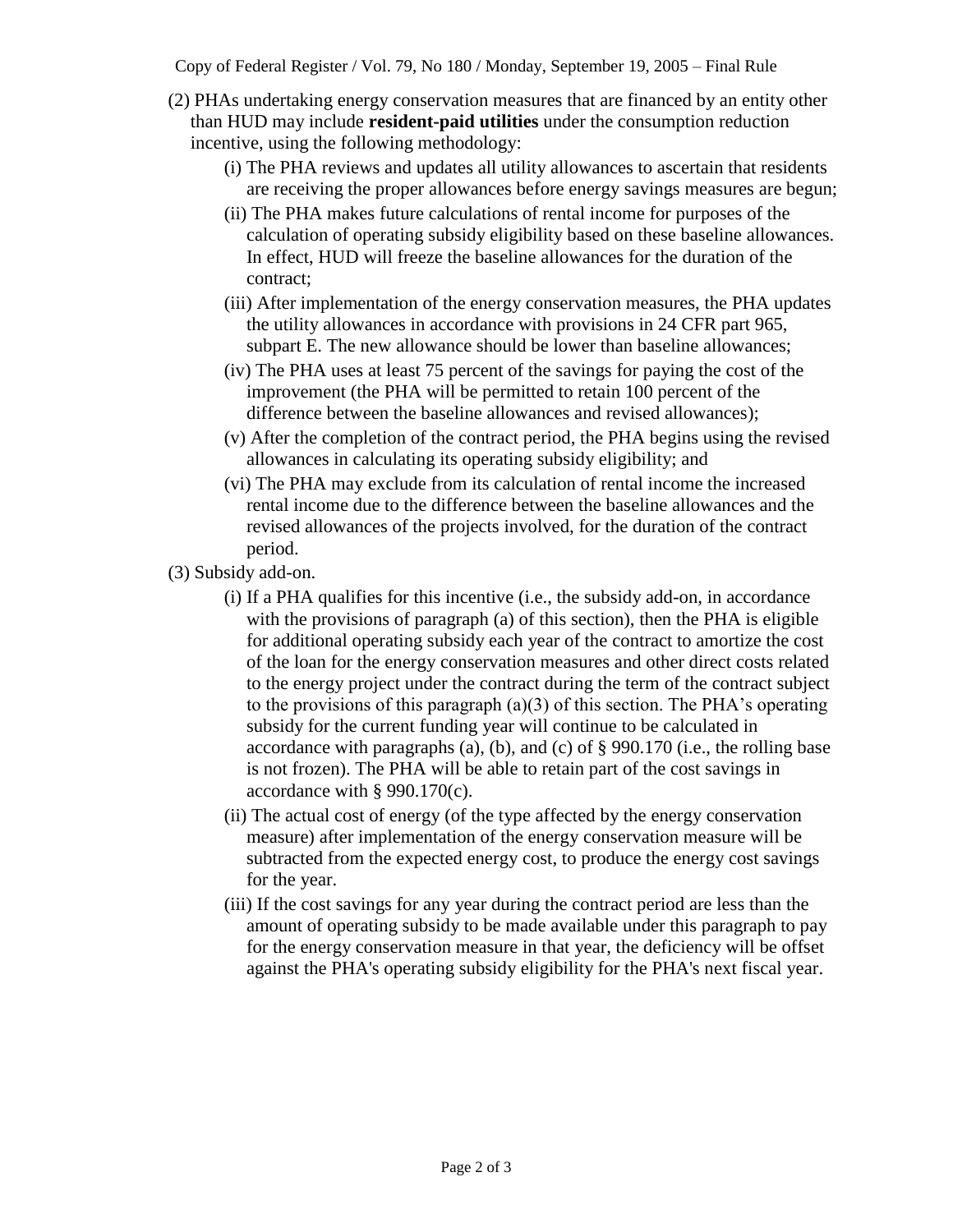Copy of Federal Register / Vol. 79, No 180 / Monday, September 19, 2005 – Final Rule

- (2) PHAs undertaking energy conservation measures that are financed by an entity other than HUD may include **resident-paid utilities** under the consumption reduction incentive, using the following methodology:
	- (i) The PHA reviews and updates all utility allowances to ascertain that residents are receiving the proper allowances before energy savings measures are begun;
	- (ii) The PHA makes future calculations of rental income for purposes of the calculation of operating subsidy eligibility based on these baseline allowances. In effect, HUD will freeze the baseline allowances for the duration of the contract;
	- (iii) After implementation of the energy conservation measures, the PHA updates the utility allowances in accordance with provisions in 24 CFR part 965, subpart E. The new allowance should be lower than baseline allowances;
	- (iv) The PHA uses at least 75 percent of the savings for paying the cost of the improvement (the PHA will be permitted to retain 100 percent of the difference between the baseline allowances and revised allowances);
	- (v) After the completion of the contract period, the PHA begins using the revised allowances in calculating its operating subsidy eligibility; and
	- (vi) The PHA may exclude from its calculation of rental income the increased rental income due to the difference between the baseline allowances and the revised allowances of the projects involved, for the duration of the contract period.
- (3) Subsidy add-on.
	- (i) If a PHA qualifies for this incentive (i.e., the subsidy add-on, in accordance with the provisions of paragraph (a) of this section), then the PHA is eligible for additional operating subsidy each year of the contract to amortize the cost of the loan for the energy conservation measures and other direct costs related to the energy project under the contract during the term of the contract subject to the provisions of this paragraph (a)(3) of this section. The PHA's operating subsidy for the current funding year will continue to be calculated in accordance with paragraphs (a), (b), and (c) of § 990.170 (i.e., the rolling base is not frozen). The PHA will be able to retain part of the cost savings in accordance with § 990.170(c).
	- (ii) The actual cost of energy (of the type affected by the energy conservation measure) after implementation of the energy conservation measure will be subtracted from the expected energy cost, to produce the energy cost savings for the year.
	- (iii) If the cost savings for any year during the contract period are less than the amount of operating subsidy to be made available under this paragraph to pay for the energy conservation measure in that year, the deficiency will be offset against the PHA's operating subsidy eligibility for the PHA's next fiscal year.